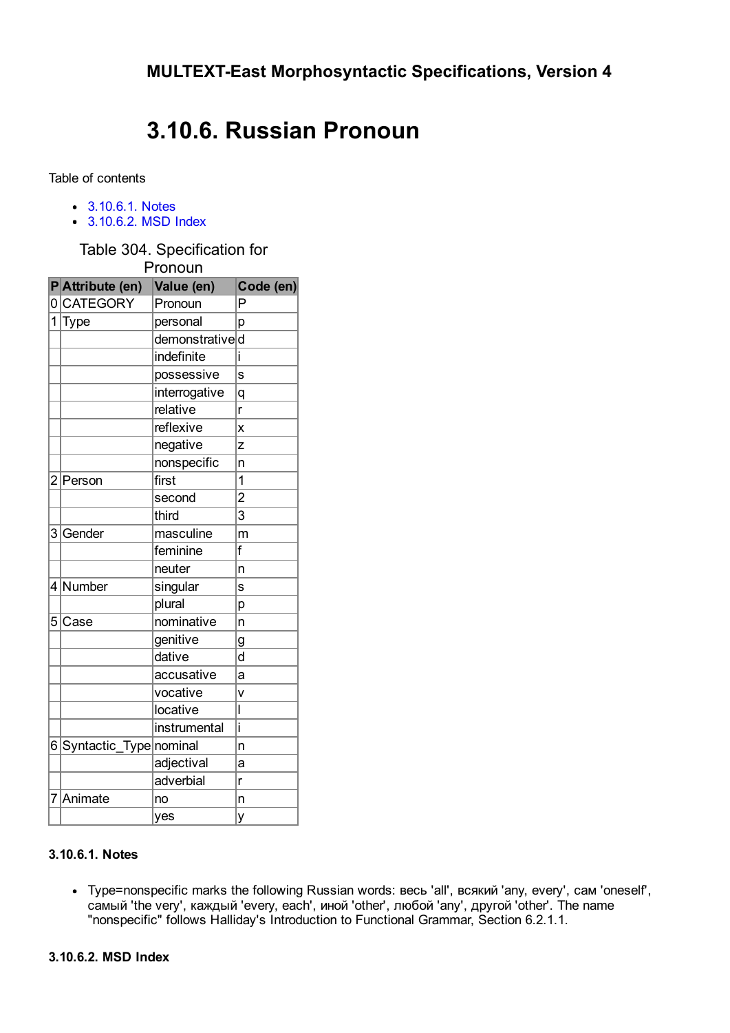## 3.10.6. Russian Pronoun

Table of contents

- [3.10.6.1.](#page-0-0) Notes
- [3.10.6.2.](#page-0-1) MSD Index

Table 304. Specification for

|   | Pronoun                  |                |                |  |  |  |  |
|---|--------------------------|----------------|----------------|--|--|--|--|
|   | PAttribute (en)          | Value (en)     | Code (en)      |  |  |  |  |
|   | 0CATEGORY                | Pronoun        | P              |  |  |  |  |
| 1 | Type                     | personal       | p              |  |  |  |  |
|   |                          | demonstratived |                |  |  |  |  |
|   |                          | indefinite     | i              |  |  |  |  |
|   |                          | possessive     | s              |  |  |  |  |
|   |                          | interrogative  | q              |  |  |  |  |
|   |                          | relative       | r              |  |  |  |  |
|   |                          | reflexive      | X              |  |  |  |  |
|   |                          | negative       | Z              |  |  |  |  |
|   |                          | nonspecific    | 'n             |  |  |  |  |
|   | 2 Person                 | first          | 1              |  |  |  |  |
|   |                          | second         | $\overline{2}$ |  |  |  |  |
|   |                          | third          | $\overline{3}$ |  |  |  |  |
|   | 3 Gender                 | masculine      | m              |  |  |  |  |
|   |                          | feminine       | f              |  |  |  |  |
|   |                          | neuter         | n              |  |  |  |  |
|   | 4 Number                 | singular       | S              |  |  |  |  |
|   |                          | plural         | p              |  |  |  |  |
|   | 5 Case                   | nominative     | n              |  |  |  |  |
|   |                          | genitive       | g              |  |  |  |  |
|   |                          | dative         | d              |  |  |  |  |
|   |                          | accusative     | a              |  |  |  |  |
|   |                          | vocative       | v              |  |  |  |  |
|   |                          | locative       | I              |  |  |  |  |
|   |                          | instrumental   | i              |  |  |  |  |
|   | 6 Syntactic_Type nominal |                | n              |  |  |  |  |
|   |                          | adjectival     | a              |  |  |  |  |
|   |                          | adverbial      | r              |  |  |  |  |
|   | 7 Animate                | no             | n              |  |  |  |  |
|   |                          | yes            | y              |  |  |  |  |

## <span id="page-0-0"></span>3.10.6.1. Notes

<span id="page-0-1"></span>Type=nonspecific marks the following Russian words: весь 'all', всякий 'any, every', сам 'oneself', самый 'the very', каждый 'every, each', иной 'other', любой 'any', другой 'other'. The name "nonspecific" follows Halliday's Introduction to Functional Grammar, Section 6.2.1.1.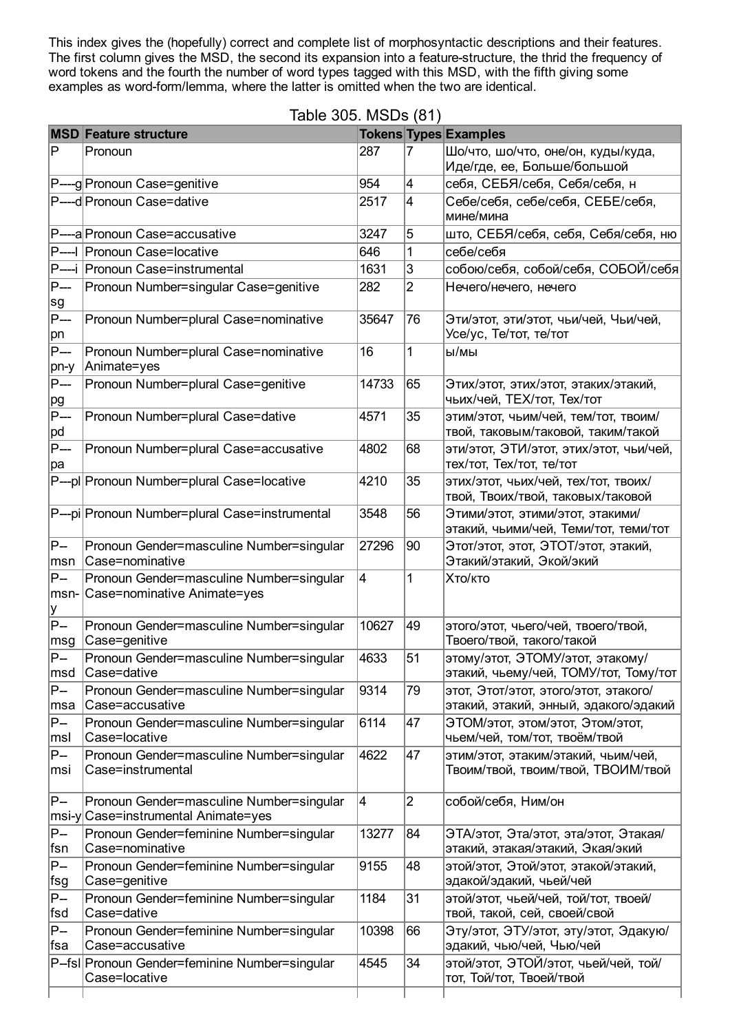This index gives the (hopefully) correct and complete list of morphosyntactic descriptions and their features.<br>The first column gives the MSD, the second its expansion into a feature-structure, the thrid the frequency of word tokens and the fourth the number of word types tagged with this MSD, with the fifth giving some examples as word-form/lemma, where the latter is omitted when the two are identical.

|                              | Table 305. MSDs (81)                                                      |       |                |                                                                                |  |  |  |
|------------------------------|---------------------------------------------------------------------------|-------|----------------|--------------------------------------------------------------------------------|--|--|--|
|                              | <b>MSD Feature structure</b>                                              |       |                | <b>Tokens Types Examples</b>                                                   |  |  |  |
| ΙP                           | Pronoun                                                                   | 287   | 7              | Шо/что, шо/что, оне/он, куды/куда,<br>Иде/где, ее, Больше/большой              |  |  |  |
|                              | P----g Pronoun Case=genitive                                              | 954   | 4              | себя, СЕБЯ/себя, Себя/себя, н                                                  |  |  |  |
|                              | P----d Pronoun Case=dative                                                | 2517  | 4              | Себе/себя, себе/себя, СЕБЕ/себя,<br>мине/мина                                  |  |  |  |
|                              | P----a Pronoun Case=accusative                                            | 3247  | 5              | што, СЕБЯ/себя, себя, Себя/себя, ню                                            |  |  |  |
|                              | P----I Pronoun Case=locative                                              | 646   | 1              | себе/себя                                                                      |  |  |  |
|                              | P----i Pronoun Case=instrumental                                          | 1631  | 3              | собою/себя, собой/себя, СОБОЙ/себя                                             |  |  |  |
| P---<br>sg                   | Pronoun Number=singular Case=genitive                                     | 282   | $\overline{2}$ | Нечего/нечего, нечего                                                          |  |  |  |
| P---<br>∣pn                  | Pronoun Number=plural Case=nominative                                     | 35647 | 76             | Эти/этот, эти/этот, чьи/чей, Чьи/чей,<br>Усе/ус, Те/тот, те/тот                |  |  |  |
| P---<br> pn-y                | Pronoun Number=plural Case=nominative<br>Animate=yes                      | 16    | 1              | ы/мы                                                                           |  |  |  |
| P---<br><u>pg</u>            | Pronoun Number=plural Case=genitive                                       | 14733 | 65             | Этих/этот, этих/этот, этаких/этакий,<br>чьих/чей, ТЕХ/тот, Тех/тот             |  |  |  |
| P---<br>∣pd                  | Pronoun Number=plural Case=dative                                         | 4571  | 35             | этим/этот, чьим/чей, тем/тот, твоим/<br>твой, таковым/таковой, таким/такой     |  |  |  |
| P---<br>∣pa                  | Pronoun Number=plural Case=accusative                                     | 4802  | 68             | эти/этот, ЭТИ/этот, этих/этот, чьи/чей,<br>тех/тот, Тех/тот, те/тот            |  |  |  |
|                              | P---pl Pronoun Number=plural Case=locative                                | 4210  | 35             | этих/этот, чьих/чей, тех/тот, твоих/<br>твой, Твоих/твой, таковых/таковой      |  |  |  |
|                              | P---pi Pronoun Number=plural Case=instrumental                            | 3548  | 56             | Этими/этот, этими/этот, этакими/<br>этакий, чьими/чей, Теми/тот, теми/тот      |  |  |  |
| $ P-$<br>∣msn                | Pronoun Gender=masculine Number=singular<br>Case=nominative               | 27296 | 90             | Этот/этот, этот, ЭТОТ/этот, этакий,<br>Этакий/этакий, Экой/экий                |  |  |  |
| P-<br>msn-<br><u>y</u>       | Pronoun Gender=masculine Number=singular<br>Case=nominative Animate=yes   | 4     | 1              | Хто/кто                                                                        |  |  |  |
| P--<br>$\sf{msg}$            | Pronoun Gender=masculine Number=singular<br>Case=genitive                 | 10627 | 49             | этого/этот, чьего/чей, твоего/твой,<br>Твоего/твой, такого/такой               |  |  |  |
| P--<br>∣msd                  | Pronoun Gender=masculine Number=singular<br>Case=dative                   | 4633  | 51             | этому/этот, ЭТОМУ/этот, этакому/<br>этакий, чьему/чей, ТОМУ/тот, Тому/тот      |  |  |  |
| $P-$<br>∣msa                 | Pronoun Gender=masculine Number=singular<br>Case=accusative               | 9314  | 79             | этот, Этот/этот, этого/этот, этакого/<br>этакий, этакий, энный, эдакого/эдакий |  |  |  |
| P--<br>$\lfloor m s \rfloor$ | Pronoun Gender=masculine Number=singular<br>Case=locative                 | 6114  | 47             | ЭТОМ/этот, этом/этот, Этом/этот,<br>чьем/чей, том/тот, твоём/твой              |  |  |  |
| P--<br>∣msi                  | Pronoun Gender=masculine Number=singular<br>Case=instrumental             | 4622  | 47             | этим/этот, этаким/этакий, чьим/чей,<br>Твоим/твой, твоим/твой, ТВОИМ/твой      |  |  |  |
| $ P-$<br>msi-y               | Pronoun Gender=masculine Number=singular<br>Case=instrumental Animate=yes | 4     | $\overline{2}$ | собой/себя, Ним/он                                                             |  |  |  |
| P--<br>∣fsn                  | Pronoun Gender=feminine Number=singular<br>Case=nominative                | 13277 | 84             | ЭТА/этот, Эта/этот, эта/этот, Этакая/<br>этакий, этакая/этакий, Экая/экий      |  |  |  |
| P--<br>∣fsg                  | Pronoun Gender=feminine Number=singular<br>Case=genitive                  | 9155  | 48             | этой/этот, Этой/этот, этакой/этакий,<br>эдакой/эдакий, чьей/чей                |  |  |  |
| P--<br>∣fsd                  | Pronoun Gender=feminine Number=singular<br>Case=dative                    | 1184  | 31             | этой/этот, чьей/чей, той/тот, твоей/<br>твой, такой, сей, своей/свой           |  |  |  |
| P--<br>∣fsa                  | Pronoun Gender=feminine Number=singular<br>Case=accusative                | 10398 | 66             | Эту/этот, ЭТУ/этот, эту/этот, Эдакую/<br>эдакий, чью/чей, Чью/чей              |  |  |  |
|                              | P-fsl Pronoun Gender=feminine Number=singular<br>Case=locative            | 4545  | 34             | этой/этот, ЭТОЙ/этот, чьей/чей, той/<br>тот, Той/тот, Твоей/твой               |  |  |  |
|                              |                                                                           |       |                |                                                                                |  |  |  |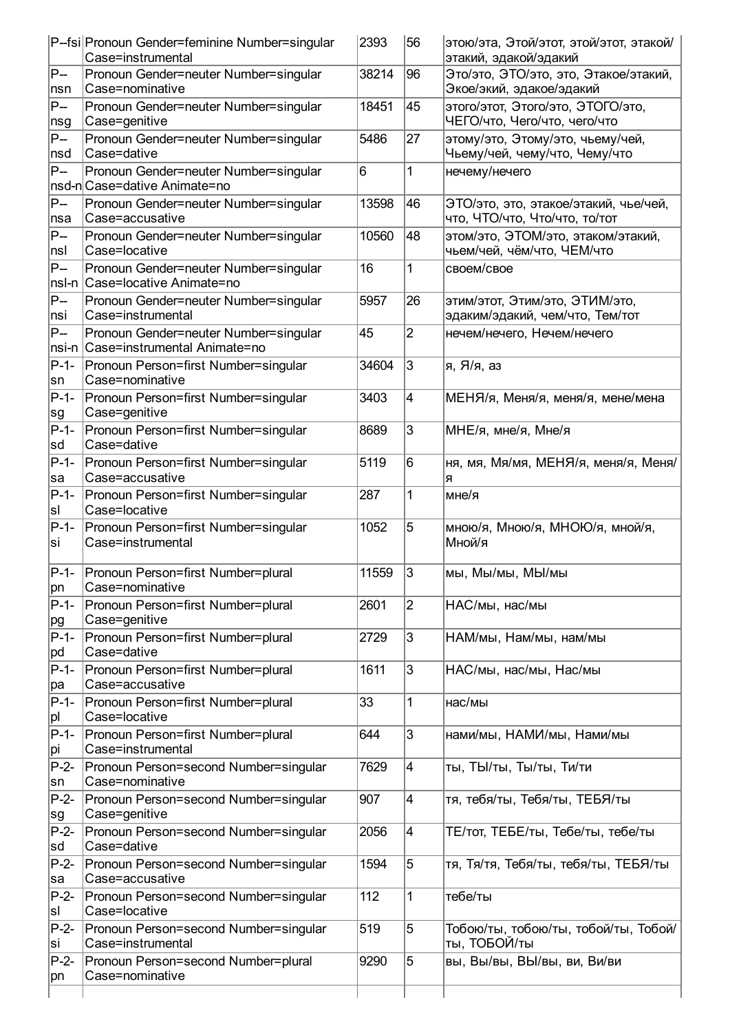|               | P-fsi Pronoun Gender=feminine Number=singular<br>Case=instrumental      | 2393  | 56 | этою/эта, Этой/этот, этой/этот, этакой/<br>этакий, эдакой/эдакий       |
|---------------|-------------------------------------------------------------------------|-------|----|------------------------------------------------------------------------|
| $P-$          | Pronoun Gender=neuter Number=singular                                   | 38214 | 96 | Это/это, ЭТО/это, это, Этакое/этакий,                                  |
| nsn           | Case=nominative                                                         |       |    | Экое/экий, эдакое/эдакий                                               |
| $P-$          | Pronoun Gender=neuter Number=singular                                   | 18451 | 45 | этого/этот, Этого/это, ЭТОГО/это,<br>ЧЕГО/что, Чего/что, чего/что      |
| nsg<br>P--    | Case=genitive<br>Pronoun Gender=neuter Number=singular                  | 5486  | 27 | этому/это, Этому/это, чьему/чей,                                       |
| nsd           | Case=dative                                                             |       |    | Чьему/чей, чему/что, Чему/что                                          |
| P--           | Pronoun Gender=neuter Number=singular<br>nsd-n Case=dative Animate=no   | 6     | 1  | нечему/нечего                                                          |
| P--<br>∣nsa   | Pronoun Gender=neuter Number=singular<br>Case=accusative                | 13598 | 46 | ЭТО/это, это, этакое/этакий, чье/чей,<br>что, ЧТО/что, Что/что, то/тот |
| $P-$<br>nsl   | Pronoun Gender=neuter Number=singular<br>Case=locative                  | 10560 | 48 | этом/это, ЭТОМ/это, этаком/этакий,<br>чьем/чей, чём/что, ЧЕМ/что       |
| $P-$          | Pronoun Gender=neuter Number=singular<br>nsl-n Case=locative Animate=no | 16    | 1  | своем/свое                                                             |
| $P-$<br>nsi   | Pronoun Gender=neuter Number=singular<br>Case=instrumental              | 5957  | 26 | этим/этот, Этим/это, ЭТИМ/это,<br>эдаким/эдакий, чем/что, Тем/тот      |
| P--<br>nsi-n  | Pronoun Gender=neuter Number=singular<br>Case=instrumental Animate=no   | 45    | 2  | нечем/нечего, Нечем/нечего                                             |
| $P-1-$<br>sn  | Pronoun Person=first Number=singular<br>Case=nominative                 | 34604 | 3  | я, Я/я, аз                                                             |
| $P-1-$<br>∣sg | Pronoun Person=first Number=singular<br>Case=genitive                   | 3403  | 4  | МЕНЯ/я, Меня/я, меня/я, мене/мена                                      |
| $P-1-$<br>∣sd | Pronoun Person=first Number=singular<br>Case=dative                     | 8689  | 3  | МНЕ/я, мне/я, Мне/я                                                    |
| $P-1-$<br>∣sa | Pronoun Person=first Number=singular<br>Case=accusative                 | 5119  | 6  | ня, мя, Мя/мя, МЕНЯ/я, меня/я, Меня/<br>я                              |
| $P-1-$<br>sl  | Pronoun Person=first Number=singular<br>Case=locative                   | 287   | 1  | мне/я                                                                  |
| P-1-<br>lsi   | Pronoun Person=first Number=singular<br>Case=instrumental               | 1052  | 5  | мною/я, Мною/я, МНОЮ/я, мной/я,<br>Мной/я                              |
| P-1-<br>∣pn   | Pronoun Person=first Number=plural<br>Case=nominative                   | 11559 | 3  | мы, Мы/мы, МЫ/мы                                                       |
| P-1-<br>pg    | Pronoun Person=first Number=plural<br>Case=genitive                     | 2601  | 2  | НАС/мы, нас/мы                                                         |
| $P-1-$<br>∣pd | Pronoun Person=first Number=plural<br>Case=dative                       | 2729  | 3  | НАМ/мы, Нам/мы, нам/мы                                                 |
| $P-1-$<br>∣pa | Pronoun Person=first Number=plural<br>Case=accusative                   | 1611  | 3  | НАС/мы, нас/мы, Нас/мы                                                 |
| $P-1-$<br> pl | Pronoun Person=first Number=plural<br>Case=locative                     | 33    | 1  | нас/мы                                                                 |
| $P-1-$<br>∣pi | Pronoun Person=first Number=plural<br>Case=instrumental                 | 644   | 3  | нами/мы, НАМИ/мы, Нами/мы                                              |
| $P-2-$<br> sn | Pronoun Person=second Number=singular<br>Case=nominative                | 7629  | 4  | ты, ТЫ/ты, Ты/ты, Ти/ти                                                |
| $P-2-$<br>∣sg | Pronoun Person=second Number=singular<br>Case=genitive                  | 907   | 4  | тя, тебя/ты, Тебя/ты, ТЕБЯ/ты                                          |
| $P-2-$<br>∣sd | Pronoun Person=second Number=singular<br>Case=dative                    | 2056  | 4  | ТЕ/тот, ТЕБЕ/ты, Тебе/ты, тебе/ты                                      |
| $P-2-$<br>∣sa | Pronoun Person=second Number=singular<br>Case=accusative                | 1594  | 5  | тя, Тя/тя, Тебя/ты, тебя/ты, ТЕБЯ/ты                                   |
| $P-2-$<br>sl  | Pronoun Person=second Number=singular<br>Case=locative                  | 112   | 1  | тебе/ты                                                                |
| $P-2-$<br>lsi | Pronoun Person=second Number=singular<br>Case=instrumental              | 519   | 5  | Тобою/ты, тобою/ты, тобой/ты, Тобой/<br>ты, ТОБОЙ/ты                   |
| $P-2-$<br>∣pn | Pronoun Person=second Number=plural<br>Case=nominative                  | 9290  | 5  | вы, Вы/вы, ВЫ/вы, ви, Ви/ви                                            |